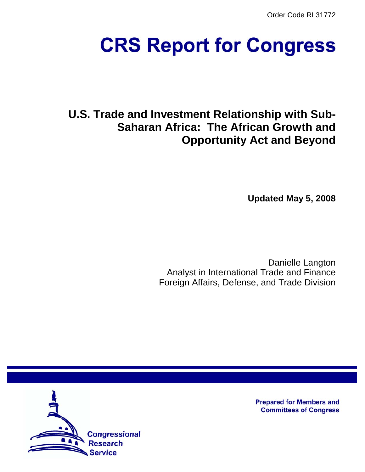Order Code RL31772

# **CRS Report for Congress**

# **U.S. Trade and Investment Relationship with Sub-Saharan Africa: The African Growth and Opportunity Act and Beyond**

**Updated May 5, 2008**

Danielle Langton Analyst in International Trade and Finance Foreign Affairs, Defense, and Trade Division



**Prepared for Members and Committees of Congress**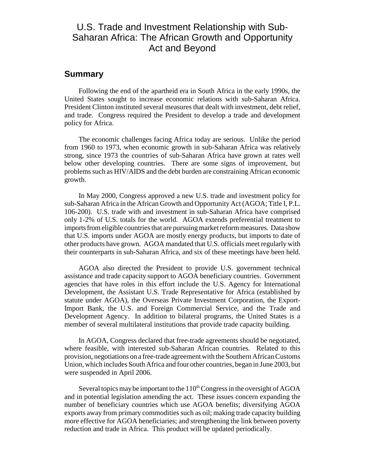# U.S. Trade and Investment Relationship with Sub-Saharan Africa: The African Growth and Opportunity Act and Beyond

#### **Summary**

Following the end of the apartheid era in South Africa in the early 1990s, the United States sought to increase economic relations with sub-Saharan Africa. President Clinton instituted several measures that dealt with investment, debt relief, and trade. Congress required the President to develop a trade and development policy for Africa.

The economic challenges facing Africa today are serious. Unlike the period from 1960 to 1973, when economic growth in sub-Saharan Africa was relatively strong, since 1973 the countries of sub-Saharan Africa have grown at rates well below other developing countries. There are some signs of improvement, but problems such as HIV/AIDS and the debt burden are constraining African economic growth.

In May 2000, Congress approved a new U.S. trade and investment policy for sub-Saharan Africa in the African Growth and Opportunity Act (AGOA; Title I, P.L. 106-200). U.S. trade with and investment in sub-Saharan Africa have comprised only 1-2% of U.S. totals for the world. AGOA extends preferential treatment to imports from eligible countries that are pursuing market reform measures. Data show that U.S. imports under AGOA are mostly energy products, but imports to date of other products have grown. AGOA mandated that U.S. officials meet regularly with their counterparts in sub-Saharan Africa, and six of these meetings have been held.

AGOA also directed the President to provide U.S. government technical assistance and trade capacity support to AGOA beneficiary countries. Government agencies that have roles in this effort include the U.S. Agency for International Development, the Assistant U.S. Trade Representative for Africa (established by statute under AGOA), the Overseas Private Investment Corporation, the Export-Import Bank, the U.S. and Foreign Commercial Service, and the Trade and Development Agency. In addition to bilateral programs, the United States is a member of several multilateral institutions that provide trade capacity building.

In AGOA, Congress declared that free-trade agreements should be negotiated, where feasible, with interested sub-Saharan African countries. Related to this provision, negotiations on a free-trade agreement with the Southern African Customs Union, which includes South Africa and four other countries, began in June 2003, but were suspended in April 2006.

Several topics may be important to the  $110<sup>th</sup>$  Congress in the oversight of AGOA and in potential legislation amending the act. These issues concern expanding the number of beneficiary countries which use AGOA benefits; diversifying AGOA exports away from primary commodities such as oil; making trade capacity building more effective for AGOA beneficiaries; and strengthening the link between poverty reduction and trade in Africa. This product will be updated periodically.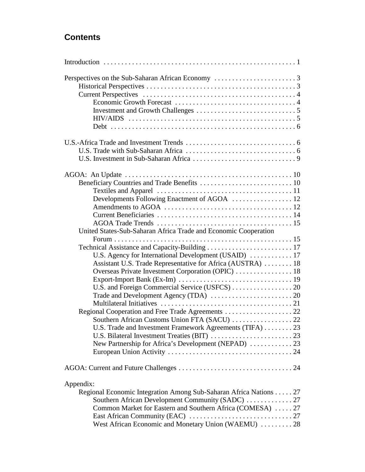# **Contents**

| Developments Following Enactment of AGOA  12                      |  |
|-------------------------------------------------------------------|--|
|                                                                   |  |
|                                                                   |  |
|                                                                   |  |
| United States-Sub-Saharan Africa Trade and Economic Cooperation   |  |
|                                                                   |  |
|                                                                   |  |
|                                                                   |  |
| Assistant U.S. Trade Representative for Africa (AUSTRA)  18       |  |
| Overseas Private Investment Corporation (OPIC)  18                |  |
|                                                                   |  |
|                                                                   |  |
|                                                                   |  |
|                                                                   |  |
| Regional Cooperation and Free Trade Agreements 22                 |  |
|                                                                   |  |
| U.S. Trade and Investment Framework Agreements (TIFA) 23          |  |
|                                                                   |  |
| New Partnership for Africa's Development (NEPAD)  23              |  |
|                                                                   |  |
|                                                                   |  |
| Appendix:                                                         |  |
| Regional Economic Integration Among Sub-Saharan Africa Nations 27 |  |
|                                                                   |  |
| Common Market for Eastern and Southern Africa (COMESA)  27        |  |
|                                                                   |  |
| West African Economic and Monetary Union (WAEMU)  28              |  |
|                                                                   |  |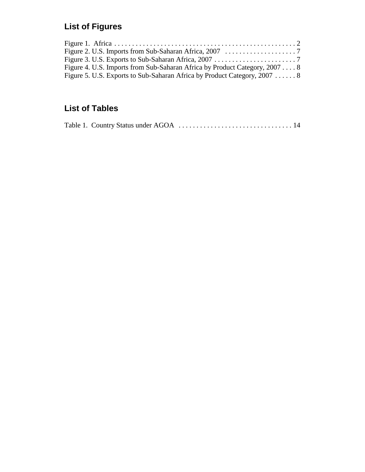# **List of Figures**

| Figure 4. U.S. Imports from Sub-Saharan Africa by Product Category, 2007 8 |  |
|----------------------------------------------------------------------------|--|
| Figure 5. U.S. Exports to Sub-Saharan Africa by Product Category, 2007  8  |  |

# **List of Tables**

|--|--|--|--|--|--|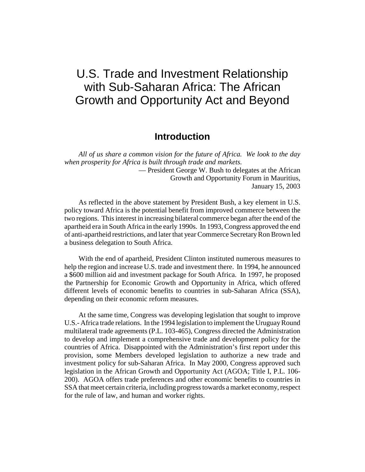# U.S. Trade and Investment Relationship with Sub-Saharan Africa: The African Growth and Opportunity Act and Beyond

## **Introduction**

*All of us share a common vision for the future of Africa. We look to the day when prosperity for Africa is built through trade and markets.* — President George W. Bush to delegates at the African

Growth and Opportunity Forum in Mauritius, January 15, 2003

As reflected in the above statement by President Bush, a key element in U.S. policy toward Africa is the potential benefit from improved commerce between the two regions. This interest in increasing bilateral commerce began after the end of the apartheid era in South Africa in the early 1990s. In 1993, Congress approved the end of anti-apartheid restrictions, and later that year Commerce Secretary Ron Brown led a business delegation to South Africa.

With the end of apartheid, President Clinton instituted numerous measures to help the region and increase U.S. trade and investment there. In 1994, he announced a \$600 million aid and investment package for South Africa. In 1997, he proposed the Partnership for Economic Growth and Opportunity in Africa, which offered different levels of economic benefits to countries in sub-Saharan Africa (SSA), depending on their economic reform measures.

At the same time, Congress was developing legislation that sought to improve U.S.- Africa trade relations. In the 1994 legislation to implement the Uruguay Round multilateral trade agreements (P.L. 103-465), Congress directed the Administration to develop and implement a comprehensive trade and development policy for the countries of Africa. Disappointed with the Administration's first report under this provision, some Members developed legislation to authorize a new trade and investment policy for sub-Saharan Africa. In May 2000, Congress approved such legislation in the African Growth and Opportunity Act (AGOA; Title I, P.L. 106- 200). AGOA offers trade preferences and other economic benefits to countries in SSA that meet certain criteria, including progress towards a market economy, respect for the rule of law, and human and worker rights.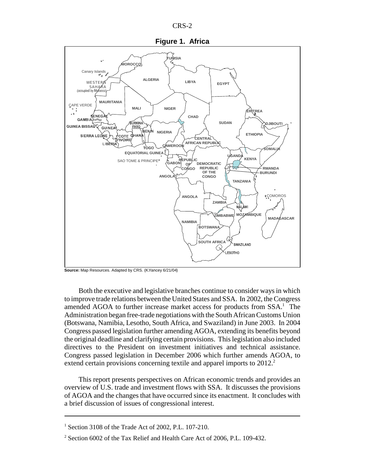



**Source:** Map Resources. Adapted by CRS. (K.Yancey 6/21/04)

Both the executive and legislative branches continue to consider ways in which to improve trade relations between the United States and SSA. In 2002, the Congress amended AGOA to further increase market access for products from SSA.<sup>1</sup> The Administration began free-trade negotiations with the South African Customs Union (Botswana, Namibia, Lesotho, South Africa, and Swaziland) in June 2003. In 2004 Congress passed legislation further amending AGOA, extending its benefits beyond the original deadline and clarifying certain provisions. This legislation also included directives to the President on investment initiatives and technical assistance. Congress passed legislation in December 2006 which further amends AGOA, to extend certain provisions concerning textile and apparel imports to  $2012<sup>2</sup>$ .

This report presents perspectives on African economic trends and provides an overview of U.S. trade and investment flows with SSA. It discusses the provisions of AGOA and the changes that have occurred since its enactment. It concludes with a brief discussion of issues of congressional interest.

<sup>&</sup>lt;sup>1</sup> Section 3108 of the Trade Act of 2002, P.L. 107-210.

 $2^2$  Section 6002 of the Tax Relief and Health Care Act of 2006, P.L. 109-432.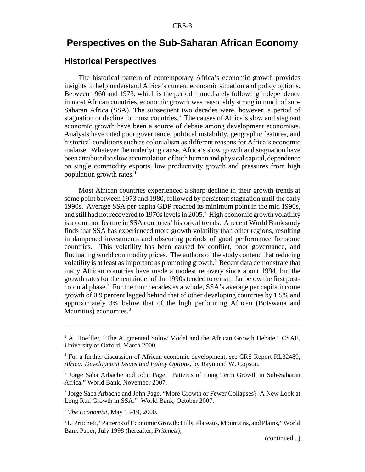# **Perspectives on the Sub-Saharan African Economy**

#### **Historical Perspectives**

The historical pattern of contemporary Africa's economic growth provides insights to help understand Africa's current economic situation and policy options. Between 1960 and 1973, which is the period immediately following independence in most African countries, economic growth was reasonably strong in much of sub-Saharan Africa (SSA). The subsequent two decades were, however, a period of stagnation or decline for most countries.<sup>3</sup> The causes of Africa's slow and stagnant economic growth have been a source of debate among development economists. Analysts have cited poor governance, political instability, geographic features, and historical conditions such as colonialism as different reasons for Africa's economic malaise. Whatever the underlying cause, Africa's slow growth and stagnation have been attributed to slow accumulation of both human and physical capital, dependence on single commodity exports, low productivity growth and pressures from high population growth rates.4

Most African countries experienced a sharp decline in their growth trends at some point between 1973 and 1980, followed by persistent stagnation until the early 1990s. Average SSA per-capita GDP reached its minimum point in the mid 1990s, and still had not recovered to 1970s levels in 2005.<sup>5</sup> High economic growth volatility is a common feature in SSA countries' historical trends. A recent World Bank study finds that SSA has experienced more growth volatility than other regions, resulting in dampened investments and obscuring periods of good performance for some countries. This volatility has been caused by conflict, poor governance, and fluctuating world commodity prices. The authors of the study contend that reducing volatility is at least as important as promoting growth.<sup>6</sup> Recent data demonstrate that many African countries have made a modest recovery since about 1994, but the growth rates for the remainder of the 1990s tended to remain far below the first postcolonial phase.7 For the four decades as a whole, SSA's average per capita income growth of 0.9 percent lagged behind that of other developing countries by 1.5% and approximately 3% below that of the high performing African (Botswana and Mauritius) economies.<sup>8</sup>

<sup>&</sup>lt;sup>3</sup> A. Hoeffler, "The Augmented Solow Model and the African Growth Debate," CSAE, University of Oxford, March 2000.

<sup>&</sup>lt;sup>4</sup> For a further discussion of African economic development, see CRS Report RL32489, *Africa: Development Issues and Policy Options,* by Raymond W. Copson.

<sup>&</sup>lt;sup>5</sup> Jorge Saba Arbache and John Page, "Patterns of Long Term Growth in Sub-Saharan Africa." World Bank, November 2007.

<sup>&</sup>lt;sup>6</sup> Jorge Saba Arbache and John Page, "More Growth or Fewer Collapses? A New Look at Long Run Growth in SSA." World Bank, October 2007.

<sup>7</sup> *The Economist*, May 13-19, 2000.

<sup>8</sup> L. Pritchett, "Patterns of Economic Growth: Hills, Plateaus, Mountains, and Plains," World Bank Paper, July 1998 (hereafter, *Pritchett*);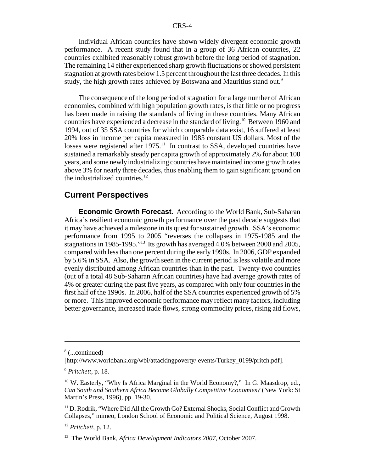Individual African countries have shown widely divergent economic growth performance. A recent study found that in a group of 36 African countries, 22 countries exhibited reasonably robust growth before the long period of stagnation. The remaining 14 either experienced sharp growth fluctuations or showed persistent stagnation at growth rates below 1.5 percent throughout the last three decades. In this study, the high growth rates achieved by Botswana and Mauritius stand out.<sup>9</sup>

The consequence of the long period of stagnation for a large number of African economies, combined with high population growth rates, is that little or no progress has been made in raising the standards of living in these countries. Many African countries have experienced a decrease in the standard of living.10 Between 1960 and 1994, out of 35 SSA countries for which comparable data exist, 16 suffered at least 20% loss in income per capita measured in 1985 constant US dollars. Most of the losses were registered after  $1975<sup>11</sup>$  In contrast to SSA, developed countries have sustained a remarkably steady per capita growth of approximately 2% for about 100 years, and some newly industrializing countries have maintained income growth rates above 3% for nearly three decades, thus enabling them to gain significant ground on the industrialized countries. $^{12}$ 

## **Current Perspectives**

**Economic Growth Forecast.** According to the World Bank, Sub-Saharan Africa's resilient economic growth performance over the past decade suggests that it may have achieved a milestone in its quest for sustained growth. SSA's economic performance from 1995 to 2005 "reverses the collapses in 1975-1985 and the stagnations in 1985-1995."13 Its growth has averaged 4.0% between 2000 and 2005, compared with less than one percent during the early 1990s. In 2006, GDP expanded by 5.6% in SSA. Also, the growth seen in the current period is less volatile and more evenly distributed among African countries than in the past. Twenty-two countries (out of a total 48 Sub-Saharan African countries) have had average growth rates of 4% or greater during the past five years, as compared with only four countries in the first half of the 1990s. In 2006, half of the SSA countries experienced growth of 5% or more. This improved economic performance may reflect many factors, including better governance, increased trade flows, strong commodity prices, rising aid flows,

<sup>8</sup> (...continued)

<sup>[</sup>http://www.worldbank.org/wbi/attackingpoverty/ events/Turkey\_0199/pritch.pdf].

<sup>9</sup> *Pritchett*, p. 18.

<sup>&</sup>lt;sup>10</sup> W. Easterly, "Why Is Africa Marginal in the World Economy?," In G. Maasdrop, ed., *Can South and Southern Africa Become Globally Competitive Economies?* (New York: St Martin's Press, 1996), pp. 19-30.

<sup>&</sup>lt;sup>11</sup> D. Rodrik, "Where Did All the Growth Go? External Shocks, Social Conflict and Growth Collapses," mimeo, London School of Economic and Political Science, August 1998.

<sup>12</sup> *Pritchett*, p. 12.

<sup>13</sup> The World Bank, *Africa Development Indicators 2007,* October 2007.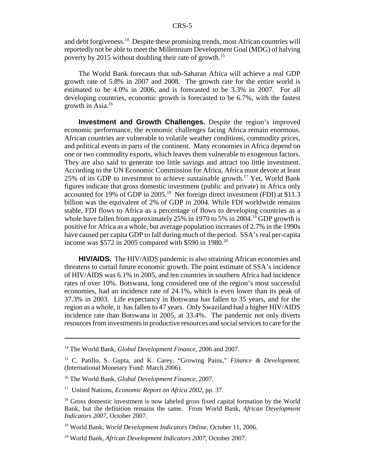and debt forgiveness.<sup>14</sup> Despite these promising trends, most African countries will reportedly not be able to meet the Millennium Development Goal (MDG) of halving poverty by 2015 without doubling their rate of growth.<sup>15</sup>

The World Bank forecasts that sub-Saharan Africa will achieve a real GDP growth rate of 5.8% in 2007 and 2008. The growth rate for the entire world is estimated to be 4.0% in 2006, and is forecasted to be 3.3% in 2007. For all developing countries, economic growth is forecasted to be 6.7%, with the fastest growth in Asia.16

**Investment and Growth Challenges.** Despite the region's improved economic performance, the economic challenges facing Africa remain enormous. African countries are vulnerable to volatile weather conditions, commodity prices, and political events in parts of the continent. Many economies in Africa depend on one or two commodity exports, which leaves them vulnerable to exogenous factors. They are also said to generate too little savings and attract too little investment. According to the UN Economic Commission for Africa, Africa must devote at least 25% of its GDP to investment to achieve sustainable growth.17 Yet, World Bank figures indicate that gross domestic investment (public and private) in Africa only accounted for 19% of GDP in 2005.18 Net foreign direct investment (FDI) at \$11.3 billion was the equivalent of 2% of GDP in 2004. While FDI worldwide remains stable, FDI flows to Africa as a percentage of flows to developing countries as a whole have fallen from approximately 25% in 1970 to 5% in 2004.<sup>19</sup> GDP growth is positive for Africa as a whole, but average population increases of 2.7% in the 1990s have caused per capita GDP to fall during much of the period. SSA's real per-capita income was \$572 in 2005 compared with \$590 in 1980.<sup>20</sup>

**HIV/AIDS.** The HIV/AIDS pandemic is also straining African economies and threatens to curtail future economic growth. The point estimate of SSA's incidence of HIV/AIDS was 6.1% in 2005, and ten countries in southern Africa had incidence rates of over 10%. Botswana, long considered one of the region's most successful economies, had an incidence rate of 24.1%, which is even lower than its peak of 37.3% in 2003. Life expectancy in Botswana has fallen to 35 years, and for the region as a whole, it has fallen to 47 years. Only Swaziland had a higher HIV/AIDS incidence rate than Botswana in 2005, at 33.4%. The pandemic not only diverts resources from investments in productive resources and social services to care for the

<sup>14</sup> The World Bank, *Global Development Finance,* 2006 and 2007.

<sup>15</sup> C. Patillo, S. Gupta, and K. Carey, "Growing Pains," *Finance & Development.* (International Monetary Fund: March 2006).

<sup>16</sup> The World Bank, *Global Development Finance,* 2007.

<sup>17</sup> United Nations, *Economic Report on Africa 2002*, pp. 37.

<sup>&</sup>lt;sup>18</sup> Gross domestic investment is now labeled gross fixed capital formation by the World Bank, but the definition remains the same. From World Bank, *African Development Indicators 2007,* October 2007.

<sup>19</sup> World Bank, *World Development Indicators Online,* October 11, 2006.

<sup>20</sup> World Bank, *African Development Indicators 2007,* October 2007.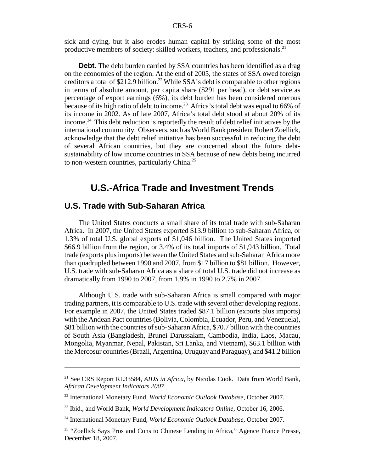sick and dying, but it also erodes human capital by striking some of the most productive members of society: skilled workers, teachers, and professionals.<sup>21</sup>

**Debt.** The debt burden carried by SSA countries has been identified as a drag on the economies of the region. At the end of 2005, the states of SSA owed foreign creditors a total of  $$212.9$  billion.<sup>22</sup> While SSA's debt is comparable to other regions in terms of absolute amount, per capita share (\$291 per head), or debt service as percentage of export earnings (6%), its debt burden has been considered onerous because of its high ratio of debt to income.<sup>23</sup> Africa's total debt was equal to 66% of its income in 2002. As of late 2007, Africa's total debt stood at about 20% of its income.<sup>24</sup> This debt reduction is reportedly the result of debt relief initiatives by the international community. Observers, such as World Bank president Robert Zoellick, acknowledge that the debt relief initiative has been successful in reducing the debt of several African countries, but they are concerned about the future debtsustainability of low income countries in SSA because of new debts being incurred to non-western countries, particularly China.25

# **U.S.-Africa Trade and Investment Trends**

#### **U.S. Trade with Sub-Saharan Africa**

The United States conducts a small share of its total trade with sub-Saharan Africa. In 2007, the United States exported \$13.9 billion to sub-Saharan Africa, or 1.3% of total U.S. global exports of \$1,046 billion. The United States imported \$66.9 billion from the region, or 3.4% of its total imports of \$1,943 billion. Total trade (exports plus imports) between the United States and sub-Saharan Africa more than quadrupled between 1990 and 2007, from \$17 billion to \$81 billion. However, U.S. trade with sub-Saharan Africa as a share of total U.S. trade did not increase as dramatically from 1990 to 2007, from 1.9% in 1990 to 2.7% in 2007.

Although U.S. trade with sub-Saharan Africa is small compared with major trading partners, it is comparable to U.S. trade with several other developing regions. For example in 2007, the United States traded \$87.1 billion (exports plus imports) with the Andean Pact countries (Bolivia, Colombia, Ecuador, Peru, and Venezuela), \$81 billion with the countries of sub-Saharan Africa, \$70.7 billion with the countries of South Asia (Bangladesh, Brunei Darussalam, Cambodia, India, Laos, Macau, Mongolia, Myanmar, Nepal, Pakistan, Sri Lanka, and Vietnam), \$63.1 billion with the Mercosur countries (Brazil, Argentina, Uruguay and Paraguay), and \$41.2 billion

<sup>21</sup> See CRS Report RL33584, *AIDS in Africa*, by Nicolas Cook. Data from World Bank, *African Development Indicators 2007*.

<sup>22</sup> International Monetary Fund, *World Economic Outlook Database,* October 2007.

<sup>23</sup> Ibid., and World Bank, *World Development Indicators Online,* October 16, 2006.

<sup>24</sup> International Monetary Fund, *World Economic Outlook Database,* October 2007.

<sup>&</sup>lt;sup>25</sup> "Zoellick Says Pros and Cons to Chinese Lending in Africa," Agence France Presse, December 18, 2007.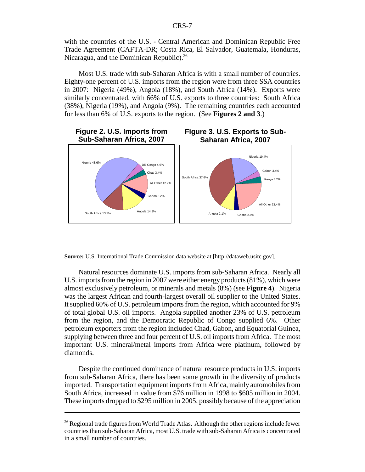with the countries of the U.S. - Central American and Dominican Republic Free Trade Agreement (CAFTA-DR; Costa Rica, El Salvador, Guatemala, Honduras, Nicaragua, and the Dominican Republic).<sup>26</sup>

Most U.S. trade with sub-Saharan Africa is with a small number of countries. Eighty-one percent of U.S. imports from the region were from three SSA countries in 2007: Nigeria (49%), Angola (18%), and South Africa (14%). Exports were similarly concentrated, with 66% of U.S. exports to three countries: South Africa (38%), Nigeria (19%), and Angola (9%). The remaining countries each accounted for less than 6% of U.S. exports to the region. (See **Figures 2 and 3**.)



**Source:** U.S. International Trade Commission data website at [http://dataweb.usitc.gov].

Natural resources dominate U.S. imports from sub-Saharan Africa. Nearly all U.S. imports from the region in 2007 were either energy products (81%), which were almost exclusively petroleum, or minerals and metals (8%) (see **Figure 4**). Nigeria was the largest African and fourth-largest overall oil supplier to the United States. It supplied 60% of U.S. petroleum imports from the region, which accounted for 9% of total global U.S. oil imports. Angola supplied another 23% of U.S. petroleum from the region, and the Democratic Republic of Congo supplied 6%. Other petroleum exporters from the region included Chad, Gabon, and Equatorial Guinea, supplying between three and four percent of U.S. oil imports from Africa. The most important U.S. mineral/metal imports from Africa were platinum, followed by diamonds.

Despite the continued dominance of natural resource products in U.S. imports from sub-Saharan Africa, there has been some growth in the diversity of products imported. Transportation equipment imports from Africa, mainly automobiles from South Africa, increased in value from \$76 million in 1998 to \$605 million in 2004. These imports dropped to \$295 million in 2005, possibly because of the appreciation

 $26$  Regional trade figures from World Trade Atlas. Although the other regions include fewer countries than sub-Saharan Africa, most U.S. trade with sub-Saharan Africa is concentrated in a small number of countries.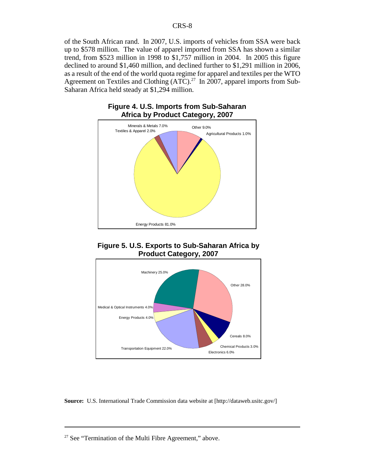of the South African rand. In 2007, U.S. imports of vehicles from SSA were back up to \$578 million. The value of apparel imported from SSA has shown a similar trend, from \$523 million in 1998 to \$1,757 million in 2004. In 2005 this figure declined to around \$1,460 million, and declined further to \$1,291 million in 2006, as a result of the end of the world quota regime for apparel and textiles per the WTO Agreement on Textiles and Clothing  $(ATC)^{27}$  In 2007, apparel imports from Sub-Saharan Africa held steady at \$1,294 million.



#### **Figure 4. U.S. Imports from Sub-Saharan Africa by Product Category, 2007**





**Source:** U.S. International Trade Commission data website at [http://dataweb.usitc.gov/]

 $27$  See "Termination of the Multi Fibre Agreement," above.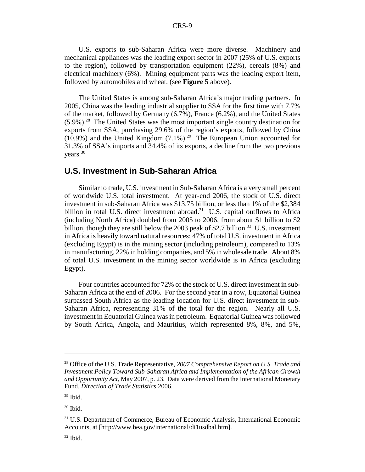U.S. exports to sub-Saharan Africa were more diverse. Machinery and mechanical appliances was the leading export sector in 2007 (25% of U.S. exports to the region), followed by transportation equipment (22%), cereals (8%) and electrical machinery (6%). Mining equipment parts was the leading export item, followed by automobiles and wheat. (see **Figure 5** above).

The United States is among sub-Saharan Africa's major trading partners. In 2005, China was the leading industrial supplier to SSA for the first time with 7.7% of the market, followed by Germany (6.7%), France (6.2%), and the United States  $(5.9\%)$ <sup>28</sup>. The United States was the most important single country destination for exports from SSA, purchasing 29.6% of the region's exports, followed by China  $(10.9\%)$  and the United Kingdom  $(7.1\%)$ <sup>29</sup> The European Union accounted for 31.3% of SSA's imports and 34.4% of its exports, a decline from the two previous years.30

#### **U.S. Investment in Sub-Saharan Africa**

Similar to trade, U.S. investment in Sub-Saharan Africa is a very small percent of worldwide U.S. total investment. At year-end 2006, the stock of U.S. direct investment in sub-Saharan Africa was \$13.75 billion, or less than 1% of the \$2,384 billion in total U.S. direct investment abroad.<sup>31</sup> U.S. capital outflows to Africa (including North Africa) doubled from 2005 to 2006, from about \$1 billion to \$2 billion, though they are still below the 2003 peak of \$2.7 billion.<sup>32</sup> U.S. investment in Africa is heavily toward natural resources: 47% of total U.S. investment in Africa (excluding Egypt) is in the mining sector (including petroleum), compared to 13% in manufacturing, 22% in holding companies, and 5% in wholesale trade. About 8% of total U.S. investment in the mining sector worldwide is in Africa (excluding Egypt).

Four countries accounted for 72% of the stock of U.S. direct investment in sub-Saharan Africa at the end of 2006. For the second year in a row, Equatorial Guinea surpassed South Africa as the leading location for U.S. direct investment in sub-Saharan Africa, representing 31% of the total for the region. Nearly all U.S. investment in Equatorial Guinea was in petroleum. Equatorial Guinea was followed by South Africa, Angola, and Mauritius, which represented 8%, 8%, and 5%,

30 Ibid.

<sup>28</sup> Office of the U.S. Trade Representative, *2007 Comprehensive Report on U.S. Trade and Investment Policy Toward Sub-Saharan Africa and Implementation of the African Growth and Opportunity Act*, May 2007, p. 23. Data were derived from the International Monetary Fund, *Direction of Trade Statistics* 2006.

 $29$  Ibid.

<sup>31</sup> U.S. Department of Commerce, Bureau of Economic Analysis, International Economic Accounts, at [http://www.bea.gov/international/di1usdbal.htm].

 $32$  Ibid.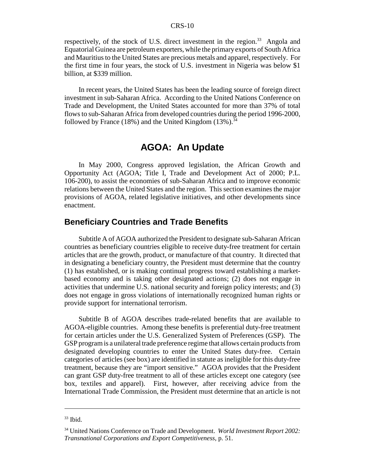respectively, of the stock of U.S. direct investment in the region.<sup>33</sup> Angola and Equatorial Guinea are petroleum exporters, while the primary exports of South Africa and Mauritius to the United States are precious metals and apparel, respectively. For the first time in four years, the stock of U.S. investment in Nigeria was below \$1 billion, at \$339 million.

In recent years, the United States has been the leading source of foreign direct investment in sub-Saharan Africa. According to the United Nations Conference on Trade and Development, the United States accounted for more than 37% of total flows to sub-Saharan Africa from developed countries during the period 1996-2000, followed by France (18%) and the United Kingdom  $(13\%)$ .<sup>34</sup>

# **AGOA: An Update**

In May 2000, Congress approved legislation, the African Growth and Opportunity Act (AGOA; Title I, Trade and Development Act of 2000; P.L. 106-200), to assist the economies of sub-Saharan Africa and to improve economic relations between the United States and the region. This section examines the major provisions of AGOA, related legislative initiatives, and other developments since enactment.

#### **Beneficiary Countries and Trade Benefits**

Subtitle A of AGOA authorized the President to designate sub-Saharan African countries as beneficiary countries eligible to receive duty-free treatment for certain articles that are the growth, product, or manufacture of that country. It directed that in designating a beneficiary country, the President must determine that the country (1) has established, or is making continual progress toward establishing a marketbased economy and is taking other designated actions; (2) does not engage in activities that undermine U.S. national security and foreign policy interests; and (3) does not engage in gross violations of internationally recognized human rights or provide support for international terrorism.

Subtitle B of AGOA describes trade-related benefits that are available to AGOA-eligible countries. Among these benefits is preferential duty-free treatment for certain articles under the U.S. Generalized System of Preferences (GSP). The GSP program is a unilateral trade preference regime that allows certain products from designated developing countries to enter the United States duty-free. Certain categories of articles (see box) are identified in statute as ineligible for this duty-free treatment, because they are "import sensitive." AGOA provides that the President can grant GSP duty-free treatment to all of these articles except one category (see box, textiles and apparel). First, however, after receiving advice from the International Trade Commission, the President must determine that an article is not

 $33$  Ibid.

<sup>34</sup> United Nations Conference on Trade and Development. *World Investment Report 2002: Transnational Corporations and Export Competitiveness*, p. 51.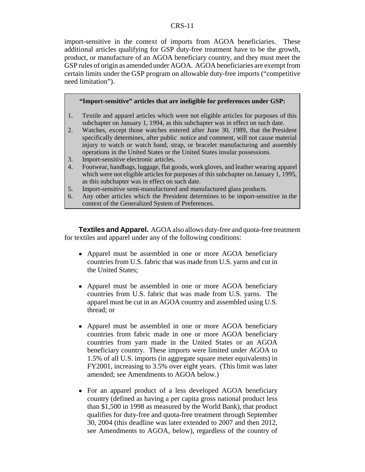import-sensitive in the context of imports from AGOA beneficiaries. These additional articles qualifying for GSP duty-free treatment have to be the growth, product, or manufacture of an AGOA beneficiary country, and they must meet the GSP rules of origin as amended under AGOA. AGOA beneficiaries are exempt from certain limits under the GSP program on allowable duty-free imports ("competitive need limitation").

#### **"Import-sensitive" articles that are ineligible for preferences under GSP:**

- 1. Textile and apparel articles which were not eligible articles for purposes of this subchapter on January 1, 1994, as this subchapter was in effect on such date.
- 2. Watches, except those watches entered after June 30, 1989, that the President specifically determines, after public notice and comment, will not cause material injury to watch or watch band, strap, or bracelet manufacturing and assembly operations in the United States or the United States insular possessions.
- 3. Import-sensitive electronic articles.
- 4. Footwear, handbags, luggage, flat goods, work gloves, and leather wearing apparel which were not eligible articles for purposes of this subchapter on January 1, 1995, as this subchapter was in effect on such date.
- 5. Import-sensitive semi-manufactured and manufactured glass products.
- 6. Any other articles which the President determines to be import-sensitive in the context of the Generalized System of Preferences.

**Textiles and Apparel.** AGOA also allows duty-free and quota-free treatment for textiles and apparel under any of the following conditions:

- Apparel must be assembled in one or more AGOA beneficiary countries from U.S. fabric that was made from U.S. yarns and cut in the United States;
- Apparel must be assembled in one or more AGOA beneficiary countries from U.S. fabric that was made from U.S. yarns. The apparel must be cut in an AGOA country and assembled using U.S. thread; or
- Apparel must be assembled in one or more AGOA beneficiary countries from fabric made in one or more AGOA beneficiary countries from yarn made in the United States or an AGOA beneficiary country. These imports were limited under AGOA to 1.5% of all U.S. imports (in aggregate square meter equivalents) in FY2001, increasing to 3.5% over eight years. (This limit was later amended; see Amendments to AGOA below.)
- For an apparel product of a less developed AGOA beneficiary country (defined as having a per capita gross national product less than \$1,500 in 1998 as measured by the World Bank), that product qualifies for duty-free and quota-free treatment through September 30, 2004 (this deadline was later extended to 2007 and then 2012, see Amendments to AGOA, below), regardless of the country of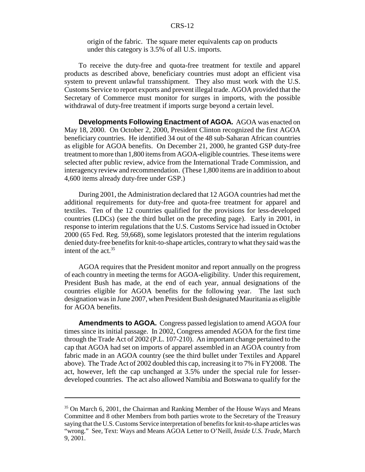origin of the fabric. The square meter equivalents cap on products under this category is 3.5% of all U.S. imports.

To receive the duty-free and quota-free treatment for textile and apparel products as described above, beneficiary countries must adopt an efficient visa system to prevent unlawful transshipment. They also must work with the U.S. Customs Service to report exports and prevent illegal trade. AGOA provided that the Secretary of Commerce must monitor for surges in imports, with the possible withdrawal of duty-free treatment if imports surge beyond a certain level.

**Developments Following Enactment of AGOA.** AGOA was enacted on May 18, 2000. On October 2, 2000, President Clinton recognized the first AGOA beneficiary countries. He identified 34 out of the 48 sub-Saharan African countries as eligible for AGOA benefits. On December 21, 2000, he granted GSP duty-free treatment to more than 1,800 items from AGOA-eligible countries. These items were selected after public review, advice from the International Trade Commission, and interagency review and recommendation. (These 1,800 items are in addition to about 4,600 items already duty-free under GSP.)

During 2001, the Administration declared that 12 AGOA countries had met the additional requirements for duty-free and quota-free treatment for apparel and textiles. Ten of the 12 countries qualified for the provisions for less-developed countries (LDCs) (see the third bullet on the preceding page). Early in 2001, in response to interim regulations that the U.S. Customs Service had issued in October 2000 (65 Fed. Reg. 59,668), some legislators protested that the interim regulations denied duty-free benefits for knit-to-shape articles, contrary to what they said was the intent of the act.  $35$ 

AGOA requires that the President monitor and report annually on the progress of each country in meeting the terms for AGOA-eligibility. Under this requirement, President Bush has made, at the end of each year, annual designations of the countries eligible for AGOA benefits for the following year. The last such designation was in June 2007, when President Bush designated Mauritania as eligible for AGOA benefits.

**Amendments to AGOA.** Congress passed legislation to amend AGOA four times since its initial passage. In 2002, Congress amended AGOA for the first time through the Trade Act of 2002 (P.L. 107-210). An important change pertained to the cap that AGOA had set on imports of apparel assembled in an AGOA country from fabric made in an AGOA country (see the third bullet under Textiles and Apparel above). The Trade Act of 2002 doubled this cap, increasing it to 7% in FY2008. The act, however, left the cap unchanged at 3.5% under the special rule for lesserdeveloped countries. The act also allowed Namibia and Botswana to qualify for the

<sup>&</sup>lt;sup>35</sup> On March 6, 2001, the Chairman and Ranking Member of the House Ways and Means Committee and 8 other Members from both parties wrote to the Secretary of the Treasury saying that the U.S. Customs Service interpretation of benefits for knit-to-shape articles was "wrong." See, Text: Ways and Means AGOA Letter to O'Neill, *Inside U.S. Trade*, March 9, 2001.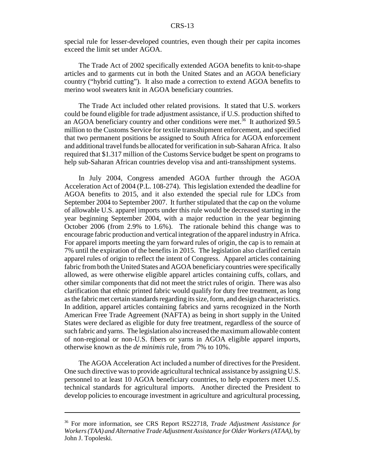special rule for lesser-developed countries, even though their per capita incomes exceed the limit set under AGOA.

The Trade Act of 2002 specifically extended AGOA benefits to knit-to-shape articles and to garments cut in both the United States and an AGOA beneficiary country ("hybrid cutting"). It also made a correction to extend AGOA benefits to merino wool sweaters knit in AGOA beneficiary countries.

The Trade Act included other related provisions. It stated that U.S. workers could be found eligible for trade adjustment assistance, if U.S. production shifted to an AGOA beneficiary country and other conditions were met.<sup>36</sup> It authorized \$9.5 million to the Customs Service for textile transshipment enforcement, and specified that two permanent positions be assigned to South Africa for AGOA enforcement and additional travel funds be allocated for verification in sub-Saharan Africa. It also required that \$1.317 million of the Customs Service budget be spent on programs to help sub-Saharan African countries develop visa and anti-transshipment systems.

In July 2004, Congress amended AGOA further through the AGOA Acceleration Act of 2004 (P.L. 108-274). This legislation extended the deadline for AGOA benefits to 2015, and it also extended the special rule for LDCs from September 2004 to September 2007. It further stipulated that the cap on the volume of allowable U.S. apparel imports under this rule would be decreased starting in the year beginning September 2004, with a major reduction in the year beginning October 2006 (from 2.9% to 1.6%). The rationale behind this change was to encourage fabric production and vertical integration of the apparel industry in Africa. For apparel imports meeting the yarn forward rules of origin, the cap is to remain at 7% until the expiration of the benefits in 2015. The legislation also clarified certain apparel rules of origin to reflect the intent of Congress. Apparel articles containing fabric from both the United States and AGOA beneficiary countries were specifically allowed, as were otherwise eligible apparel articles containing cuffs, collars, and other similar components that did not meet the strict rules of origin. There was also clarification that ethnic printed fabric would qualify for duty free treatment, as long as the fabric met certain standards regarding its size, form, and design characteristics. In addition, apparel articles containing fabrics and yarns recognized in the North American Free Trade Agreement (NAFTA) as being in short supply in the United States were declared as eligible for duty free treatment, regardless of the source of such fabric and yarns. The legislation also increased the maximum allowable content of non-regional or non-U.S. fibers or yarns in AGOA eligible apparel imports, otherwise known as the *de minimis* rule, from 7% to 10%.

The AGOA Acceleration Act included a number of directives for the President. One such directive was to provide agricultural technical assistance by assigning U.S. personnel to at least 10 AGOA beneficiary countries, to help exporters meet U.S. technical standards for agricultural imports. Another directed the President to develop policies to encourage investment in agriculture and agricultural processing,

<sup>36</sup> For more information, see CRS Report RS22718, *Trade Adjustment Assistance for Workers (TAA) and Alternative Trade Adjustment Assistance for Older Workers (ATAA),* by John J. Topoleski.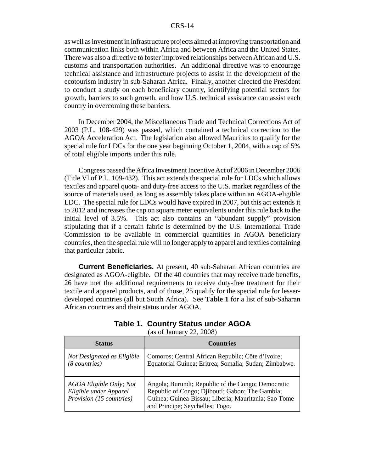as well as investment in infrastructure projects aimed at improving transportation and communication links both within Africa and between Africa and the United States. There was also a directive to foster improved relationships between African and U.S. customs and transportation authorities. An additional directive was to encourage technical assistance and infrastructure projects to assist in the development of the ecotourism industry in sub-Saharan Africa. Finally, another directed the President to conduct a study on each beneficiary country, identifying potential sectors for growth, barriers to such growth, and how U.S. technical assistance can assist each country in overcoming these barriers.

In December 2004, the Miscellaneous Trade and Technical Corrections Act of 2003 (P.L. 108-429) was passed, which contained a technical correction to the AGOA Acceleration Act. The legislation also allowed Mauritius to qualify for the special rule for LDCs for the one year beginning October 1, 2004, with a cap of 5% of total eligible imports under this rule.

Congress passed the Africa Investment Incentive Act of 2006 in December 2006 (Title VI of P.L. 109-432). This act extends the special rule for LDCs which allows textiles and apparel quota- and duty-free access to the U.S. market regardless of the source of materials used, as long as assembly takes place within an AGOA-eligible LDC. The special rule for LDCs would have expired in 2007, but this act extends it to 2012 and increases the cap on square meter equivalents under this rule back to the initial level of 3.5%. This act also contains an "abundant supply" provision stipulating that if a certain fabric is determined by the U.S. International Trade Commission to be available in commercial quantities in AGOA beneficiary countries, then the special rule will no longer apply to apparel and textiles containing that particular fabric.

**Current Beneficiaries.** At present, 40 sub-Saharan African countries are designated as AGOA-eligible. Of the 40 countries that may receive trade benefits, 26 have met the additional requirements to receive duty-free treatment for their textile and apparel products, and of those, 25 qualify for the special rule for lesserdeveloped countries (all but South Africa). See **Table 1** for a list of sub-Saharan African countries and their status under AGOA.

| <b>Table 1. Country Status under AGOA</b> |  |  |  |
|-------------------------------------------|--|--|--|
|                                           |  |  |  |

(as of January 22, 2008)

| <b>Status</b>                                                                        | <b>Countries</b>                                                                                                                                                                                 |
|--------------------------------------------------------------------------------------|--------------------------------------------------------------------------------------------------------------------------------------------------------------------------------------------------|
| Not Designated as Eligible<br>$(8$ countries)                                        | Comoros; Central African Republic; Côte d'Ivoire;<br>Equatorial Guinea; Eritrea; Somalia; Sudan; Zimbabwe.                                                                                       |
| AGOA Eligible Only; Not<br>Eligible under Apparel<br><i>Provision</i> (15 countries) | Angola; Burundi; Republic of the Congo; Democratic<br>Republic of Congo; Djibouti; Gabon; The Gambia;<br>Guinea; Guinea-Bissau; Liberia; Mauritania; Sao Tome<br>and Principe; Seychelles; Togo. |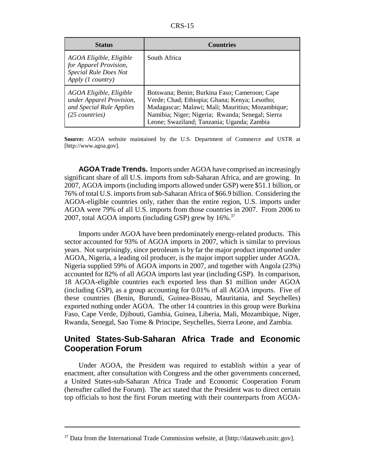| ×.<br>v |
|---------|
|---------|

| <b>Status</b>                                                                                          | <b>Countries</b>                                                                                                                                                                                                                                     |
|--------------------------------------------------------------------------------------------------------|------------------------------------------------------------------------------------------------------------------------------------------------------------------------------------------------------------------------------------------------------|
| AGOA Eligible, Eligible<br>for Apparel Provision,<br><b>Special Rule Does Not</b><br>Apply (1 country) | South Africa                                                                                                                                                                                                                                         |
| AGOA Eligible, Eligible<br>under Apparel Provision,<br>and Special Rule Applies<br>$(25$ countries)    | Botswana; Benin; Burkina Faso; Cameroon; Cape<br>Verde; Chad; Ethiopia; Ghana; Kenya; Lesotho;<br>Madagascar; Malawi; Mali; Mauritius; Mozambique;<br>Namibia; Niger; Nigeria; Rwanda; Senegal; Sierra<br>Leone; Swaziland; Tanzania; Uganda; Zambia |

**Source:** AGOA website maintained by the U.S. Department of Commerce and USTR at [http://www.agoa.gov].

**AGOA Trade Trends.** Imports under AGOA have comprised an increasingly significant share of all U.S. imports from sub-Saharan Africa, and are growing. In 2007, AGOA imports (including imports allowed under GSP) were \$51.1 billion, or 76% of total U.S. imports from sub-Saharan Africa of \$66.9 billion. Considering the AGOA-eligible countries only, rather than the entire region, U.S. imports under AGOA were 79% of all U.S. imports from those countries in 2007. From 2006 to 2007, total AGOA imports (including GSP) grew by  $16\%$ .<sup>37</sup>

Imports under AGOA have been predominately energy-related products. This sector accounted for 93% of AGOA imports in 2007, which is similar to previous years. Not surprisingly, since petroleum is by far the major product imported under AGOA, Nigeria, a leading oil producer, is the major import supplier under AGOA. Nigeria supplied 59% of AGOA imports in 2007, and together with Angola (23%) accounted for 82% of all AGOA imports last year (including GSP). In comparison, 18 AGOA-eligible countries each exported less than \$1 million under AGOA (including GSP), as a group accounting for 0.01% of all AGOA imports. Five of these countries (Benin, Burundi, Guinea-Bissau, Mauritania, and Seychelles) exported nothing under AGOA. The other 14 countries in this group were Burkina Faso, Cape Verde, Djibouti, Gambia, Guinea, Liberia, Mali, Mozambique, Niger, Rwanda, Senegal, Sao Tome & Principe, Seychelles, Sierra Leone, and Zambia.

#### **United States-Sub-Saharan Africa Trade and Economic Cooperation Forum**

Under AGOA, the President was required to establish within a year of enactment, after consultation with Congress and the other governments concerned, a United States-sub-Saharan Africa Trade and Economic Cooperation Forum (hereafter called the Forum). The act stated that the President was to direct certain top officials to host the first Forum meeting with their counterparts from AGOA-

<sup>&</sup>lt;sup>37</sup> Data from the International Trade Commission website, at [http://dataweb.usitc.gov].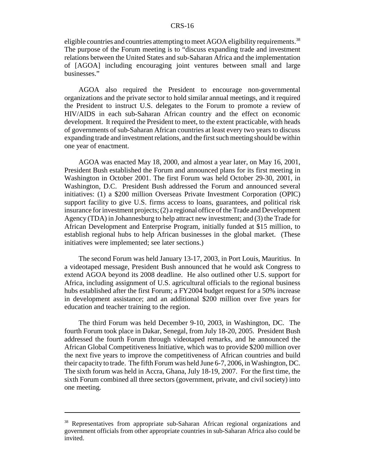eligible countries and countries attempting to meet AGOA eligibility requirements.<sup>38</sup> The purpose of the Forum meeting is to "discuss expanding trade and investment relations between the United States and sub-Saharan Africa and the implementation of [AGOA] including encouraging joint ventures between small and large businesses."

AGOA also required the President to encourage non-governmental organizations and the private sector to hold similar annual meetings, and it required the President to instruct U.S. delegates to the Forum to promote a review of HIV/AIDS in each sub-Saharan African country and the effect on economic development. It required the President to meet, to the extent practicable, with heads of governments of sub-Saharan African countries at least every two years to discuss expanding trade and investment relations, and the first such meeting should be within one year of enactment.

AGOA was enacted May 18, 2000, and almost a year later, on May 16, 2001, President Bush established the Forum and announced plans for its first meeting in Washington in October 2001. The first Forum was held October 29-30, 2001, in Washington, D.C. President Bush addressed the Forum and announced several initiatives: (1) a \$200 million Overseas Private Investment Corporation (OPIC) support facility to give U.S. firms access to loans, guarantees, and political risk insurance for investment projects; (2) a regional office of the Trade and Development Agency (TDA) in Johannesburg to help attract new investment; and (3) the Trade for African Development and Enterprise Program, initially funded at \$15 million, to establish regional hubs to help African businesses in the global market. (These initiatives were implemented; see later sections.)

The second Forum was held January 13-17, 2003, in Port Louis, Mauritius. In a videotaped message, President Bush announced that he would ask Congress to extend AGOA beyond its 2008 deadline. He also outlined other U.S. support for Africa, including assignment of U.S. agricultural officials to the regional business hubs established after the first Forum; a FY2004 budget request for a 50% increase in development assistance; and an additional \$200 million over five years for education and teacher training to the region.

The third Forum was held December 9-10, 2003, in Washington, DC. The fourth Forum took place in Dakar, Senegal, from July 18-20, 2005. President Bush addressed the fourth Forum through videotaped remarks, and he announced the African Global Competitiveness Initiative, which was to provide \$200 million over the next five years to improve the competitiveness of African countries and build their capacity to trade. The fifth Forum was held June 6-7, 2006, in Washington, DC. The sixth forum was held in Accra, Ghana, July 18-19, 2007. For the first time, the sixth Forum combined all three sectors (government, private, and civil society) into one meeting.

<sup>&</sup>lt;sup>38</sup> Representatives from appropriate sub-Saharan African regional organizations and government officials from other appropriate countries in sub-Saharan Africa also could be invited.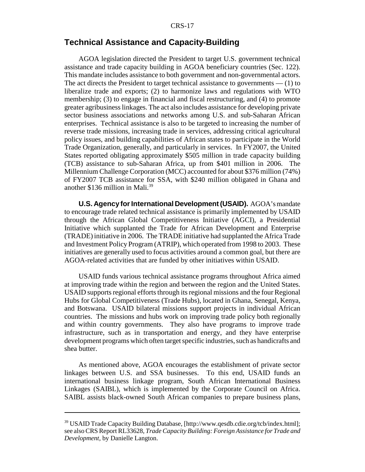# **Technical Assistance and Capacity-Building**

AGOA legislation directed the President to target U.S. government technical assistance and trade capacity building in AGOA beneficiary countries (Sec. 122). This mandate includes assistance to both government and non-governmental actors. The act directs the President to target technical assistance to governments — (1) to liberalize trade and exports; (2) to harmonize laws and regulations with WTO membership; (3) to engage in financial and fiscal restructuring, and (4) to promote greater agribusiness linkages. The act also includes assistance for developing private sector business associations and networks among U.S. and sub-Saharan African enterprises. Technical assistance is also to be targeted to increasing the number of reverse trade missions, increasing trade in services, addressing critical agricultural policy issues, and building capabilities of African states to participate in the World Trade Organization, generally, and particularly in services. In FY2007, the United States reported obligating approximately \$505 million in trade capacity building (TCB) assistance to sub-Saharan Africa, up from \$401 million in 2006. The Millennium Challenge Corporation (MCC) accounted for about \$376 million (74%) of FY2007 TCB assistance for SSA, with \$240 million obligated in Ghana and another \$136 million in Mali.39

**U.S. Agency for International Development (USAID).** AGOA's mandate to encourage trade related technical assistance is primarily implemented by USAID through the African Global Competitiveness Initiative (AGCI), a Presidential Initiative which supplanted the Trade for African Development and Enterprise (TRADE) initiative in 2006. The TRADE initiative had supplanted the Africa Trade and Investment Policy Program (ATRIP), which operated from 1998 to 2003. These initiatives are generally used to focus activities around a common goal, but there are AGOA-related activities that are funded by other initiatives within USAID.

USAID funds various technical assistance programs throughout Africa aimed at improving trade within the region and between the region and the United States. USAID supports regional efforts through its regional missions and the four Regional Hubs for Global Competitiveness (Trade Hubs), located in Ghana, Senegal, Kenya, and Botswana. USAID bilateral missions support projects in individual African countries. The missions and hubs work on improving trade policy both regionally and within country governments. They also have programs to improve trade infrastructure, such as in transportation and energy, and they have enterprise development programs which often target specific industries, such as handicrafts and shea butter.

As mentioned above, AGOA encourages the establishment of private sector linkages between U.S. and SSA businesses. To this end, USAID funds an international business linkage program, South African International Business Linkages (SAIBL), which is implemented by the Corporate Council on Africa. SAIBL assists black-owned South African companies to prepare business plans,

<sup>39</sup> USAID Trade Capacity Building Database, [http://www.qesdb.cdie.org/tcb/index.html]; see also CRS Report RL33628, *Trade Capacity Building: Foreign Assistance for Trade and Development,* by Danielle Langton.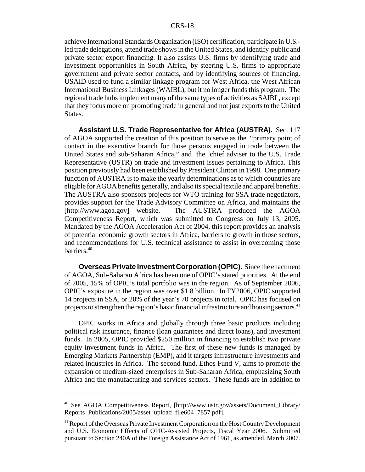achieve International Standards Organization (ISO) certification, participate in U.S. led trade delegations, attend trade shows in the United States, and identify public and private sector export financing. It also assists U.S. firms by identifying trade and investment opportunities in South Africa, by steering U.S. firms to appropriate government and private sector contacts, and by identifying sources of financing. USAID used to fund a similar linkage program for West Africa, the West African International Business Linkages (WAIBL), but it no longer funds this program. The regional trade hubs implement many of the same types of activities as SAIBL, except that they focus more on promoting trade in general and not just exports to the United States.

**Assistant U.S. Trade Representative for Africa (AUSTRA).** Sec. 117 of AGOA supported the creation of this position to serve as the "primary point of contact in the executive branch for those persons engaged in trade between the United States and sub-Saharan Africa," and the chief adviser to the U.S. Trade Representative (USTR) on trade and investment issues pertaining to Africa. This position previously had been established by President Clinton in 1998. One primary function of AUSTRA is to make the yearly determinations as to which countries are eligible for AGOA benefits generally, and also its special textile and apparel benefits. The AUSTRA also sponsors projects for WTO training for SSA trade negotiators, provides support for the Trade Advisory Committee on Africa, and maintains the [http://www.agoa.gov] website. The AUSTRA produced the AGOA Competitiveness Report, which was submitted to Congress on July 13, 2005. Mandated by the AGOA Acceleration Act of 2004, this report provides an analysis of potential economic growth sectors in Africa, barriers to growth in those sectors, and recommendations for U.S. technical assistance to assist in overcoming those barriers.40

**Overseas Private Investment Corporation (OPIC).** Since the enactment of AGOA, Sub-Saharan Africa has been one of OPIC's stated priorities. At the end of 2005, 15% of OPIC's total portfolio was in the region. As of September 2006, OPIC's exposure in the region was over \$1.8 billion. In FY2006, OPIC supported 14 projects in SSA, or 20% of the year's 70 projects in total. OPIC has focused on projects to strengthen the region's basic financial infrastructure and housing sectors.<sup>41</sup>

OPIC works in Africa and globally through three basic products including political risk insurance, finance (loan guarantees and direct loans), and investment funds. In 2005, OPIC provided \$250 million in financing to establish two private equity investment funds in Africa. The first of these new funds is managed by Emerging Markets Partnership (EMP), and it targets infrastructure investments and related industries in Africa. The second fund, Ethos Fund V, aims to promote the expansion of medium-sized enterprises in Sub-Saharan Africa, emphasizing South Africa and the manufacturing and services sectors. These funds are in addition to

<sup>&</sup>lt;sup>40</sup> See AGOA Competitiveness Report, [http://www.ustr.gov/assets/Document Library/ Reports\_Publications/2005/asset\_upload\_file604\_7857.pdf].

<sup>&</sup>lt;sup>41</sup> Report of the Overseas Private Investment Corporation on the Host Country Development and U.S. Economic Effects of OPIC-Assisted Projects, Fiscal Year 2006. Submitted pursuant to Section 240A of the Foreign Assistance Act of 1961, as amended, March 2007.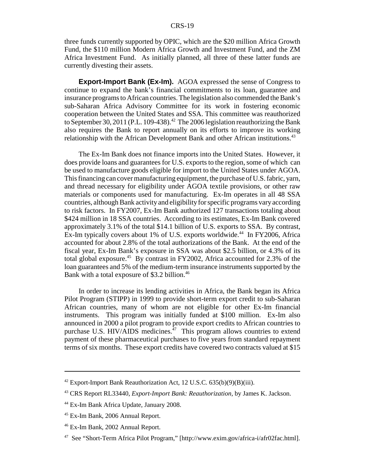three funds currently supported by OPIC, which are the \$20 million Africa Growth Fund, the \$110 million Modern Africa Growth and Investment Fund, and the ZM Africa Investment Fund. As initially planned, all three of these latter funds are currently divesting their assets.

**Export-Import Bank (Ex-Im).** AGOA expressed the sense of Congress to continue to expand the bank's financial commitments to its loan, guarantee and insurance programs to African countries. The legislation also commended the Bank's sub-Saharan Africa Advisory Committee for its work in fostering economic cooperation between the United States and SSA. This committee was reauthorized to September 30, 2011 (P.L. 109-438).<sup>42</sup> The 2006 legislation reauthorizing the Bank also requires the Bank to report annually on its efforts to improve its working relationship with the African Development Bank and other African institutions.<sup>43</sup>

The Ex-Im Bank does not finance imports into the United States. However, it does provide loans and guarantees for U.S. exports to the region, some of which can be used to manufacture goods eligible for import to the United States under AGOA. This financing can cover manufacturing equipment, the purchase of U.S. fabric, yarn, and thread necessary for eligibility under AGOA textile provisions, or other raw materials or components used for manufacturing. Ex-Im operates in all 48 SSA countries, although Bank activity and eligibility for specific programs vary according to risk factors. In FY2007, Ex-Im Bank authorized 127 transactions totaling about \$424 million in 18 SSA countries. According to its estimates, Ex-Im Bank covered approximately 3.1% of the total \$14.1 billion of U.S. exports to SSA. By contrast, Ex-Im typically covers about 1% of U.S. exports worldwide.<sup>44</sup> In FY2006, Africa accounted for about 2.8% of the total authorizations of the Bank. At the end of the fiscal year, Ex-Im Bank's exposure in SSA was about \$2.5 billion, or 4.3% of its total global exposure.45 By contrast in FY2002, Africa accounted for 2.3% of the loan guarantees and 5% of the medium-term insurance instruments supported by the Bank with a total exposure of \$3.2 billion.<sup>46</sup>

In order to increase its lending activities in Africa, the Bank began its Africa Pilot Program (STIPP) in 1999 to provide short-term export credit to sub-Saharan African countries, many of whom are not eligible for other Ex-Im financial instruments. This program was initially funded at \$100 million. Ex-Im also announced in 2000 a pilot program to provide export credits to African countries to purchase U.S. HIV/AIDS medicines. $^{47}$  This program allows countries to extend payment of these pharmaceutical purchases to five years from standard repayment terms of six months. These export credits have covered two contracts valued at \$15

 $42$  Export-Import Bank Reauthorization Act, 12 U.S.C.  $635(b)(9)(B)(iii)$ .

<sup>43</sup> CRS Report RL33440, *Export-Import Bank: Reauthorization,* by James K. Jackson.

<sup>44</sup> Ex-Im Bank Africa Update, January 2008.

<sup>45</sup> Ex-Im Bank, 2006 Annual Report.

<sup>46</sup> Ex-Im Bank, 2002 Annual Report.

<sup>47</sup> See "Short-Term Africa Pilot Program," [http://www.exim.gov/africa-i/afr02fac.html].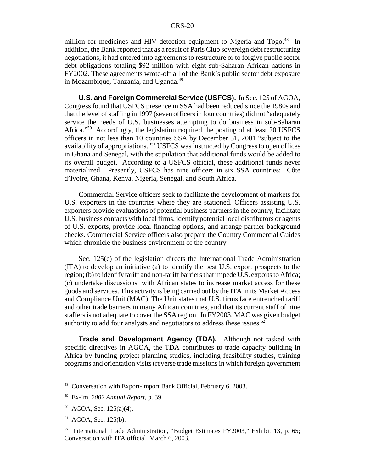million for medicines and HIV detection equipment to Nigeria and Togo.<sup>48</sup> In addition, the Bank reported that as a result of Paris Club sovereign debt restructuring negotiations, it had entered into agreements to restructure or to forgive public sector debt obligations totaling \$92 million with eight sub-Saharan African nations in FY2002. These agreements wrote-off all of the Bank's public sector debt exposure in Mozambique, Tanzania, and Uganda.<sup>49</sup>

**U.S. and Foreign Commercial Service (USFCS).** In Sec. 125 of AGOA, Congress found that USFCS presence in SSA had been reduced since the 1980s and that the level of staffing in 1997 (seven officers in four countries) did not "adequately service the needs of U.S. businesses attempting to do business in sub-Saharan Africa."50 Accordingly, the legislation required the posting of at least 20 USFCS officers in not less than 10 countries SSA by December 31, 2001 "subject to the availability of appropriations."51 USFCS was instructed by Congress to open offices in Ghana and Senegal, with the stipulation that additional funds would be added to its overall budget. According to a USFCS official, these additional funds never materialized. Presently, USFCS has nine officers in six SSA countries: Côte d'Ivoire, Ghana, Kenya, Nigeria, Senegal, and South Africa.

Commercial Service officers seek to facilitate the development of markets for U.S. exporters in the countries where they are stationed. Officers assisting U.S. exporters provide evaluations of potential business partners in the country, facilitate U.S. business contacts with local firms, identify potential local distributors or agents of U.S. exports, provide local financing options, and arrange partner background checks. Commercial Service officers also prepare the Country Commercial Guides which chronicle the business environment of the country.

Sec. 125(c) of the legislation directs the International Trade Administration (ITA) to develop an initiative (a) to identify the best U.S. export prospects to the region; (b) to identify tariff and non-tariff barriers that impede U.S. exports to Africa; (c) undertake discussions with African states to increase market access for these goods and services. This activity is being carried out by the ITA in its Market Access and Compliance Unit (MAC). The Unit states that U.S. firms face entrenched tariff and other trade barriers in many African countries, and that its current staff of nine staffers is not adequate to cover the SSA region. In FY2003, MAC was given budget authority to add four analysts and negotiators to address these issues.52

**Trade and Development Agency (TDA).** Although not tasked with specific directives in AGOA, the TDA contributes to trade capacity building in Africa by funding project planning studies, including feasibility studies, training programs and orientation visits (reverse trade missions in which foreign government

<sup>48</sup> Conversation with Export-Import Bank Official, February 6, 2003.

<sup>49</sup> Ex-Im, *2002 Annual Report*, p. 39.

 $50$  AGOA, Sec. 125(a)(4).

<sup>51</sup> AGOA, Sec. 125(b).

<sup>52</sup> International Trade Administration, "Budget Estimates FY2003," Exhibit 13, p. 65; Conversation with ITA official, March 6, 2003.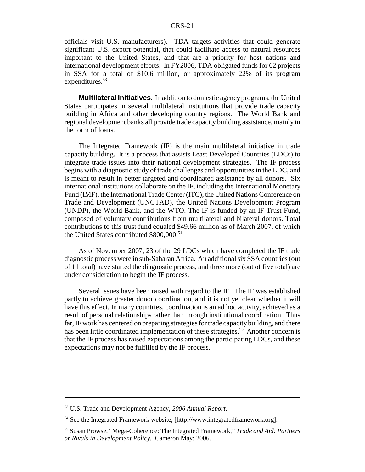officials visit U.S. manufacturers). TDA targets activities that could generate significant U.S. export potential, that could facilitate access to natural resources important to the United States, and that are a priority for host nations and international development efforts. In FY2006, TDA obligated funds for 62 projects in SSA for a total of \$10.6 million, or approximately 22% of its program expenditures.<sup>53</sup>

**Multilateral Initiatives.** In addition to domestic agency programs, the United States participates in several multilateral institutions that provide trade capacity building in Africa and other developing country regions. The World Bank and regional development banks all provide trade capacity building assistance, mainly in the form of loans.

The Integrated Framework (IF) is the main multilateral initiative in trade capacity building. It is a process that assists Least Developed Countries (LDCs) to integrate trade issues into their national development strategies. The IF process begins with a diagnostic study of trade challenges and opportunities in the LDC, and is meant to result in better targeted and coordinated assistance by all donors. Six international institutions collaborate on the IF, including the International Monetary Fund (IMF), the International Trade Center (ITC), the United Nations Conference on Trade and Development (UNCTAD), the United Nations Development Program (UNDP), the World Bank, and the WTO. The IF is funded by an IF Trust Fund, composed of voluntary contributions from multilateral and bilateral donors. Total contributions to this trust fund equaled \$49.66 million as of March 2007, of which the United States contributed \$800,000.<sup>54</sup>

As of November 2007, 23 of the 29 LDCs which have completed the IF trade diagnostic process were in sub-Saharan Africa. An additional six SSA countries (out of 11 total) have started the diagnostic process, and three more (out of five total) are under consideration to begin the IF process.

Several issues have been raised with regard to the IF. The IF was established partly to achieve greater donor coordination, and it is not yet clear whether it will have this effect. In many countries, coordination is an ad hoc activity, achieved as a result of personal relationships rather than through institutional coordination. Thus far, IF work has centered on preparing strategies for trade capacity building, and there has been little coordinated implementation of these strategies.<sup>55</sup> Another concern is that the IF process has raised expectations among the participating LDCs, and these expectations may not be fulfilled by the IF process.

<sup>53</sup> U.S. Trade and Development Agency, *2006 Annual Report*.

<sup>54</sup> See the Integrated Framework website, [http://www.integratedframework.org].

<sup>55</sup> Susan Prowse, "Mega-Coherence: The Integrated Framework," *Trade and Aid: Partners or Rivals in Development Policy.* Cameron May: 2006.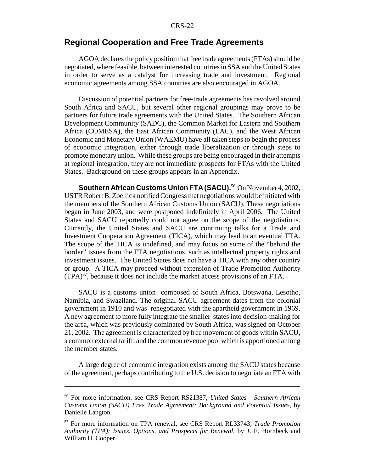#### **Regional Cooperation and Free Trade Agreements**

AGOA declares the policy position that free trade agreements (FTAs) should be negotiated, where feasible, between interested countries in SSA and the United States in order to serve as a catalyst for increasing trade and investment. Regional economic agreements among SSA countries are also encouraged in AGOA.

Discussion of potential partners for free-trade agreements has revolved around South Africa and SACU, but several other regional groupings may prove to be partners for future trade agreements with the United States. The Southern African Development Community (SADC), the Common Market for Eastern and Southern Africa (COMESA), the East African Community (EAC), and the West African Economic and Monetary Union (WAEMU) have all taken steps to begin the process of economic integration, either through trade liberalization or through steps to promote monetary union. While these groups are being encouraged in their attempts at regional integration, they are not immediate prospects for FTAs with the United States. Background on these groups appears in an Appendix.

**Southern African Customs Union FTA (SACU).**<sup>56</sup> On November 4, 2002, USTR Robert B. Zoellick notified Congress that negotiations would be initiated with the members of the Southern African Customs Union (SACU). These negotiations began in June 2003, and were postponed indefinitely in April 2006. The United States and SACU reportedly could not agree on the scope of the negotiations. Currently, the United States and SACU are continuing talks for a Trade and Investment Cooperation Agreement (TICA), which may lead to an eventual FTA. The scope of the TICA is undefined, and may focus on some of the "behind the border" issues from the FTA negotiations, such as intellectual property rights and investment issues. The United States does not have a TICA with any other country or group. A TICA may proceed without extension of Trade Promotion Authority  $(TPA)^{57}$ , because it does not include the market access provisions of an FTA.

SACU is a customs union composed of South Africa, Botswana, Lesotho, Namibia, and Swaziland. The original SACU agreement dates from the colonial government in 1910 and was renegotiated with the apartheid government in 1969. A new agreement to more fully integrate the smaller states into decision-making for the area, which was previously dominated by South Africa, was signed on October 21, 2002. The agreement is characterized by free movement of goods within SACU, a common external tariff, and the common revenue pool which is apportioned among the member states.

A large degree of economic integration exists among the SACU states because of the agreement, perhaps contributing to the U.S. decision to negotiate an FTA with

<sup>56</sup> For more information, see CRS Report RS21387, *United States - Southern African Customs Union (SACU) Free Trade Agreement: Background and Potential Issues*, by Danielle Langton.

<sup>57</sup> For more information on TPA renewal, see CRS Report RL33743, *Trade Promotion Authority (TPA): Issues, Options, and Prospects for Renewal,* by J. F. Hornbeck and William H. Cooper.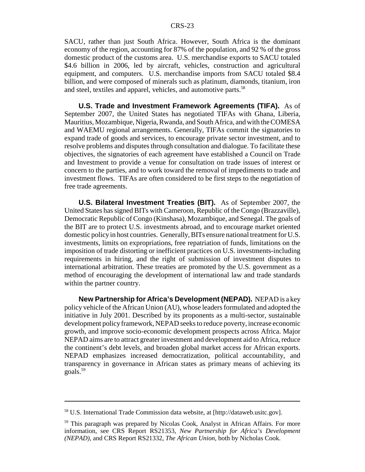SACU, rather than just South Africa. However, South Africa is the dominant economy of the region, accounting for 87% of the population, and 92 % of the gross domestic product of the customs area. U.S. merchandise exports to SACU totaled \$4.6 billion in 2006, led by aircraft, vehicles, construction and agricultural equipment, and computers. U.S. merchandise imports from SACU totaled \$8.4 billion, and were composed of minerals such as platinum, diamonds, titanium, iron and steel, textiles and apparel, vehicles, and automotive parts.<sup>58</sup>

**U.S. Trade and Investment Framework Agreements (TIFA).** As of September 2007, the United States has negotiated TIFAs with Ghana, Liberia, Mauritius, Mozambique, Nigeria, Rwanda, and South Africa, and with the COMESA and WAEMU regional arrangements. Generally, TIFAs commit the signatories to expand trade of goods and services, to encourage private sector investment, and to resolve problems and disputes through consultation and dialogue. To facilitate these objectives, the signatories of each agreement have established a Council on Trade and Investment to provide a venue for consultation on trade issues of interest or concern to the parties, and to work toward the removal of impediments to trade and investment flows. TIFAs are often considered to be first steps to the negotiation of free trade agreements.

**U.S. Bilateral Investment Treaties (BIT).** As of September 2007, the United States has signed BITs with Cameroon, Republic of the Congo (Brazzaville), Democratic Republic of Congo (Kinshasa), Mozambique, and Senegal. The goals of the BIT are to protect U.S. investments abroad, and to encourage market oriented domestic policy in host countries. Generally, BITs ensure national treatment for U.S. investments, limits on expropriations, free repatriation of funds, limitations on the imposition of trade distorting or inefficient practices on U.S. investments-including requirements in hiring, and the right of submission of investment disputes to international arbitration. These treaties are promoted by the U.S. government as a method of encouraging the development of international law and trade standards within the partner country.

**New Partnership for Africa's Development (NEPAD).** NEPAD is a key policy vehicle of the African Union (AU), whose leaders formulated and adopted the initiative in July 2001. Described by its proponents as a multi-sector, sustainable development policy framework, NEPAD seeks to reduce poverty, increase economic growth, and improve socio-economic development prospects across Africa. Major NEPAD aims are to attract greater investment and development aid to Africa, reduce the continent's debt levels, and broaden global market access for African exports. NEPAD emphasizes increased democratization, political accountability, and transparency in governance in African states as primary means of achieving its goals.59

<sup>58</sup> U.S. International Trade Commission data website, at [http://dataweb.usitc.gov].

<sup>59</sup> This paragraph was prepared by Nicolas Cook, Analyst in African Affairs. For more information, see CRS Report RS21353, *New Partnership for Africa's Development (NEPAD)*, and CRS Report RS21332, *The African Union*, both by Nicholas Cook.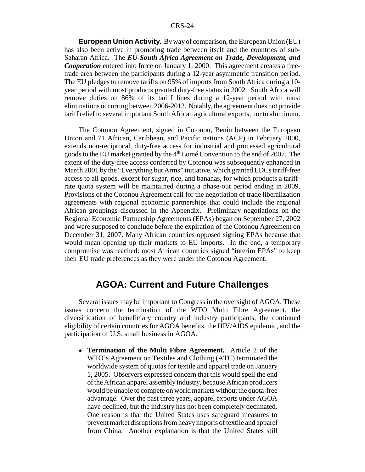**European Union Activity.** By way of comparison, the European Union (EU) has also been active in promoting trade between itself and the countries of sub-Saharan Africa. The *EU-South Africa Agreement on Trade, Development, and Cooperation* entered into force on January 1, 2000. This agreement creates a freetrade area between the participants during a 12-year asymmetric transition period. The EU pledges to remove tariffs on 95% of imports from South Africa during a 10 year period with most products granted duty-free status in 2002. South Africa will remove duties on 86% of its tariff lines during a 12-year period with most eliminations occurring between 2006-2012. Notably, the agreement does not provide tariff relief to several important South African agricultural exports, nor to aluminum.

The Cotonou Agreement, signed in Cotonou, Benin between the European Union and 71 African, Caribbean, and Pacific nations (ACP) in February 2000, extends non-reciprocal, duty-free access for industrial and processed agricultural goods to the EU market granted by the 4<sup>th</sup> Lomé Convention to the end of 2007. The extent of the duty-free access conferred by Cotonou was subsequently enhanced in March 2001 by the "Everything but Arms" initiative, which granted LDCs tariff-free access to all goods, except for sugar, rice, and bananas, for which products a tariffrate quota system will be maintained during a phase-out period ending in 2009. Provisions of the Cotonou Agreement call for the negotiation of trade liberalization agreements with regional economic partnerships that could include the regional African groupings discussed in the Appendix. Preliminary negotiations on the Regional Economic Partnership Agreements (EPAs) began on September 27, 2002 and were supposed to conclude before the expiration of the Cotonou Agreement on December 31, 2007. Many African countries opposed signing EPAs because that would mean opening up their markets to EU imports. In the end, a temporary compromise was reached: most African countries signed "interim EPAs" to keep their EU trade preferences as they were under the Cotonou Agreement.

## **AGOA: Current and Future Challenges**

Several issues may be important to Congress in the oversight of AGOA. These issues concern the termination of the WTO Multi Fibre Agreement, the diversification of beneficiary country and industry participants, the continued eligibility of certain countries for AGOA benefits, the HIV/AIDS epidemic, and the participation of U.S. small business in AGOA.

! **Termination of the Multi Fibre Agreement.** Article 2 of the WTO's Agreement on Textiles and Clothing (ATC) terminated the worldwide system of quotas for textile and apparel trade on January 1, 2005. Observers expressed concern that this would spell the end of the African apparel assembly industry, because African producers would be unable to compete on world markets without the quota-free advantage. Over the past three years, apparel exports under AGOA have declined, but the industry has not been completely decimated. One reason is that the United States uses safeguard measures to prevent market disruptions from heavy imports of textile and apparel from China. Another explanation is that the United States still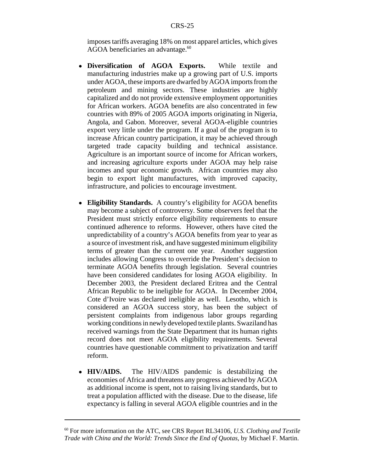imposes tariffs averaging 18% on most apparel articles, which gives AGOA beneficiaries an advantage.<sup>60</sup>

- ! **Diversification of AGOA Exports.** While textile and manufacturing industries make up a growing part of U.S. imports under AGOA, these imports are dwarfed by AGOA imports from the petroleum and mining sectors. These industries are highly capitalized and do not provide extensive employment opportunities for African workers. AGOA benefits are also concentrated in few countries with 89% of 2005 AGOA imports originating in Nigeria, Angola, and Gabon. Moreover, several AGOA-eligible countries export very little under the program. If a goal of the program is to increase African country participation, it may be achieved through targeted trade capacity building and technical assistance. Agriculture is an important source of income for African workers, and increasing agriculture exports under AGOA may help raise incomes and spur economic growth. African countries may also begin to export light manufactures, with improved capacity, infrastructure, and policies to encourage investment.
- ! **Eligibility Standards.** A country's eligibility for AGOA benefits may become a subject of controversy. Some observers feel that the President must strictly enforce eligibility requirements to ensure continued adherence to reforms. However, others have cited the unpredictability of a country's AGOA benefits from year to year as a source of investment risk, and have suggested minimum eligibility terms of greater than the current one year. Another suggestion includes allowing Congress to override the President's decision to terminate AGOA benefits through legislation. Several countries have been considered candidates for losing AGOA eligibility. In December 2003, the President declared Eritrea and the Central African Republic to be ineligible for AGOA. In December 2004, Cote d'Ivoire was declared ineligible as well. Lesotho, which is considered an AGOA success story, has been the subject of persistent complaints from indigenous labor groups regarding working conditions in newly developed textile plants. Swaziland has received warnings from the State Department that its human rights record does not meet AGOA eligibility requirements. Several countries have questionable commitment to privatization and tariff reform.
- ! **HIV/AIDS.** The HIV/AIDS pandemic is destabilizing the economies of Africa and threatens any progress achieved by AGOA as additional income is spent, not to raising living standards, but to treat a population afflicted with the disease. Due to the disease, life expectancy is falling in several AGOA eligible countries and in the

<sup>60</sup> For more information on the ATC, see CRS Report RL34106, *U.S. Clothing and Textile Trade with China and the World: Trends Since the End of Quotas,* by Michael F. Martin.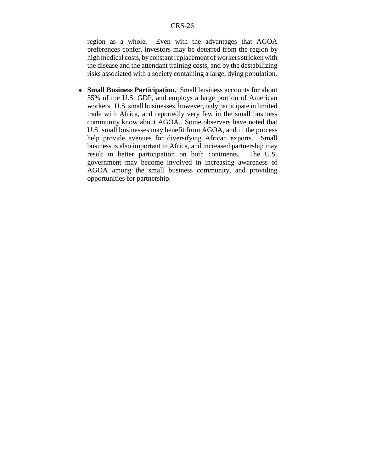region as a whole. Even with the advantages that AGOA preferences confer, investors may be deterred from the region by high medical costs, by constant replacement of workers stricken with the disease and the attendant training costs, and by the destabilizing risks associated with a society containing a large, dying population.

• **Small Business Participation.** Small business accounts for about 55% of the U.S. GDP, and employs a large portion of American workers. U.S. small businesses, however, only participate in limited trade with Africa, and reportedly very few in the small business community know about AGOA. Some observers have noted that U.S. small businesses may benefit from AGOA, and in the process help provide avenues for diversifying African exports. Small business is also important in Africa, and increased partnership may result in better participation on both continents. The U.S. government may become involved in increasing awareness of AGOA among the small business community, and providing opportunities for partnership.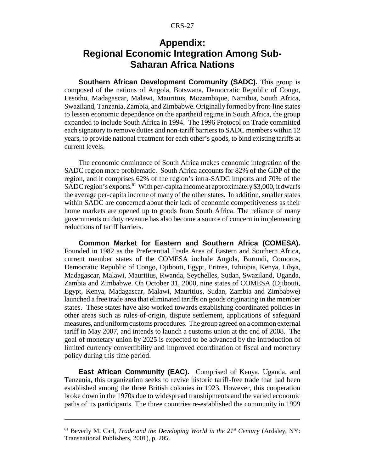# **Appendix: Regional Economic Integration Among Sub-Saharan Africa Nations**

**Southern African Development Community (SADC).** This group is composed of the nations of Angola, Botswana, Democratic Republic of Congo, Lesotho, Madagascar, Malawi, Mauritius, Mozambique, Namibia, South Africa, Swaziland, Tanzania, Zambia, and Zimbabwe. Originally formed by front-line states to lessen economic dependence on the apartheid regime in South Africa, the group expanded to include South Africa in 1994. The 1996 Protocol on Trade committed each signatory to remove duties and non-tariff barriers to SADC members within 12 years, to provide national treatment for each other's goods, to bind existing tariffs at current levels.

The economic dominance of South Africa makes economic integration of the SADC region more problematic. South Africa accounts for 82% of the GDP of the region, and it comprises 62% of the region's intra-SADC imports and 70% of the SADC region's exports.<sup>61</sup> With per-capita income at approximately \$3,000, it dwarfs the average per-capita income of many of the other states. In addition, smaller states within SADC are concerned about their lack of economic competitiveness as their home markets are opened up to goods from South Africa. The reliance of many governments on duty revenue has also become a source of concern in implementing reductions of tariff barriers.

**Common Market for Eastern and Southern Africa (COMESA).** Founded in 1982 as the Preferential Trade Area of Eastern and Southern Africa, current member states of the COMESA include Angola, Burundi, Comoros, Democratic Republic of Congo, Djibouti, Egypt, Eritrea, Ethiopia, Kenya, Libya, Madagascar, Malawi, Mauritius, Rwanda, Seychelles, Sudan, Swaziland, Uganda, Zambia and Zimbabwe. On October 31, 2000, nine states of COMESA (Djibouti, Egypt, Kenya, Madagascar, Malawi, Mauritius, Sudan, Zambia and Zimbabwe) launched a free trade area that eliminated tariffs on goods originating in the member states. These states have also worked towards establishing coordinated policies in other areas such as rules-of-origin, dispute settlement, applications of safeguard measures, and uniform customs procedures. The group agreed on a common external tariff in May 2007, and intends to launch a customs union at the end of 2008. The goal of monetary union by 2025 is expected to be advanced by the introduction of limited currency convertibility and improved coordination of fiscal and monetary policy during this time period.

**East African Community (EAC).** Comprised of Kenya, Uganda, and Tanzania, this organization seeks to revive historic tariff-free trade that had been established among the three British colonies in 1923. However, this cooperation broke down in the 1970s due to widespread transhipments and the varied economic paths of its participants. The three countries re-established the community in 1999

<sup>&</sup>lt;sup>61</sup> Beverly M. Carl, *Trade and the Developing World in the 21<sup>st</sup> Century* (Ardsley, NY: Transnational Publishers, 2001), p. 205.